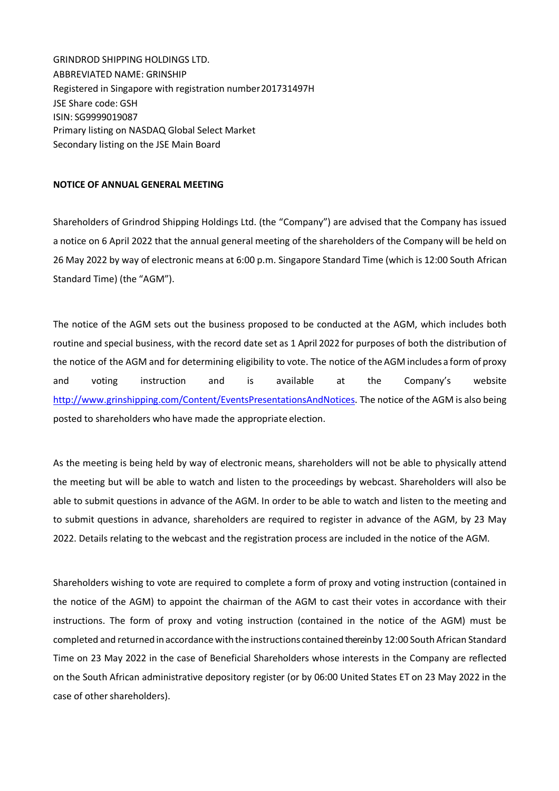GRINDROD SHIPPING HOLDINGS LTD. ABBREVIATED NAME: GRINSHIP Registered in Singapore with registration number 201731497H JSE Share code: GSH ISIN: SG9999019087 Primary listing on NASDAQ Global Select Market Secondary listing on the JSE Main Board

## **NOTICE OF ANNUAL GENERAL MEETING**

Shareholders of Grindrod Shipping Holdings Ltd. (the "Company") are advised that the Company has issued a notice on 6 April 2022 that the annual general meeting of the shareholders of the Company will be held on 26 May 2022 by way of electronic means at 6:00 p.m. Singapore Standard Time (which is 12:00 South African Standard Time) (the "AGM").

The notice of the AGM sets out the business proposed to be conducted at the AGM, which includes both routine and special business, with the record date set as 1 April 2022 for purposes of both the distribution of the notice of the AGM and for determining eligibility to vote. The notice of the AGM includes a form of proxy and voting instruction and is available at the Company's website http://www.grinshipping.com/Content/EventsPresentationsAndNotices. The notice of the AGM is also being posted to shareholders who have made the appropriate election.

As the meeting is being held by way of electronic means, shareholders will not be able to physically attend the meeting but will be able to watch and listen to the proceedings by webcast. Shareholders will also be able to submit questions in advance of the AGM. In order to be able to watch and listen to the meeting and to submit questions in advance, shareholders are required to register in advance of the AGM, by 23 May 2022. Details relating to the webcast and the registration process are included in the notice of the AGM.

Shareholders wishing to vote are required to complete a form of proxy and voting instruction (contained in the notice of the AGM) to appoint the chairman of the AGM to cast their votes in accordance with their instructions. The form of proxy and voting instruction (contained in the notice of the AGM) must be completed and returned in accordance with the instructions contained therein by 12:00 South African Standard Time on 23 May 2022 in the case of Beneficial Shareholders whose interests in the Company are reflected on the South African administrative depository register (or by 06:00 United States ET on 23 May 2022 in the case of other shareholders).